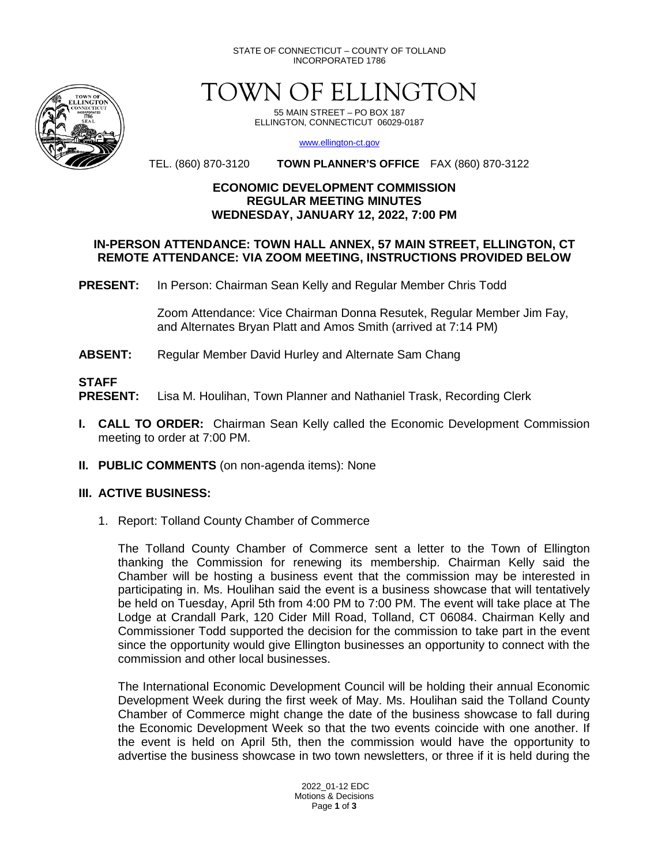STATE OF CONNECTICUT – COUNTY OF TOLLAND INCORPORATED 1786



TOWN OF ELLINGTON

55 MAIN STREET – PO BOX 187 ELLINGTON, CONNECTICUT 06029-0187

[www.ellington-ct.gov](http://www.ellington-ct.gov/)

TEL. (860) 870-3120 **TOWN PLANNER'S OFFICE** FAX (860) 870-3122

#### **ECONOMIC DEVELOPMENT COMMISSION REGULAR MEETING MINUTES WEDNESDAY, JANUARY 12, 2022, 7:00 PM**

#### **IN-PERSON ATTENDANCE: TOWN HALL ANNEX, 57 MAIN STREET, ELLINGTON, CT REMOTE ATTENDANCE: VIA ZOOM MEETING, INSTRUCTIONS PROVIDED BELOW**

**PRESENT:** In Person: Chairman Sean Kelly and Regular Member Chris Todd

Zoom Attendance: Vice Chairman Donna Resutek, Regular Member Jim Fay, and Alternates Bryan Platt and Amos Smith (arrived at 7:14 PM)

**ABSENT:** Regular Member David Hurley and Alternate Sam Chang

**STAFF**  Lisa M. Houlihan, Town Planner and Nathaniel Trask, Recording Clerk

- **I. CALL TO ORDER:** Chairman Sean Kelly called the Economic Development Commission meeting to order at 7:00 PM.
- **II. PUBLIC COMMENTS** (on non-agenda items): None

## **III. ACTIVE BUSINESS:**

1. Report: Tolland County Chamber of Commerce

The Tolland County Chamber of Commerce sent a letter to the Town of Ellington thanking the Commission for renewing its membership. Chairman Kelly said the Chamber will be hosting a business event that the commission may be interested in participating in. Ms. Houlihan said the event is a business showcase that will tentatively be held on Tuesday, April 5th from 4:00 PM to 7:00 PM. The event will take place at The Lodge at Crandall Park, 120 Cider Mill Road, Tolland, CT 06084. Chairman Kelly and Commissioner Todd supported the decision for the commission to take part in the event since the opportunity would give Ellington businesses an opportunity to connect with the commission and other local businesses.

The International Economic Development Council will be holding their annual Economic Development Week during the first week of May. Ms. Houlihan said the Tolland County Chamber of Commerce might change the date of the business showcase to fall during the Economic Development Week so that the two events coincide with one another. If the event is held on April 5th, then the commission would have the opportunity to advertise the business showcase in two town newsletters, or three if it is held during the

> 2022\_01-12 EDC Motions & Decisions Page **1** of **3**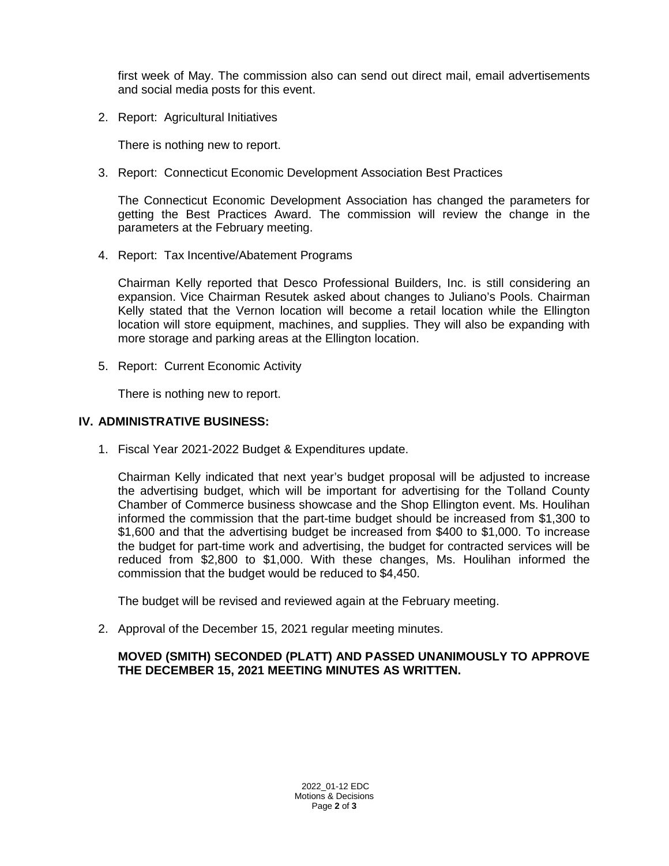first week of May. The commission also can send out direct mail, email advertisements and social media posts for this event.

2. Report: Agricultural Initiatives

There is nothing new to report.

3. Report: Connecticut Economic Development Association Best Practices

The Connecticut Economic Development Association has changed the parameters for getting the Best Practices Award. The commission will review the change in the parameters at the February meeting.

4. Report: Tax Incentive/Abatement Programs

Chairman Kelly reported that Desco Professional Builders, Inc. is still considering an expansion. Vice Chairman Resutek asked about changes to Juliano's Pools. Chairman Kelly stated that the Vernon location will become a retail location while the Ellington location will store equipment, machines, and supplies. They will also be expanding with more storage and parking areas at the Ellington location.

5. Report: Current Economic Activity

There is nothing new to report.

#### **IV. ADMINISTRATIVE BUSINESS:**

1. Fiscal Year 2021-2022 Budget & Expenditures update.

Chairman Kelly indicated that next year's budget proposal will be adjusted to increase the advertising budget, which will be important for advertising for the Tolland County Chamber of Commerce business showcase and the Shop Ellington event. Ms. Houlihan informed the commission that the part-time budget should be increased from \$1,300 to \$1,600 and that the advertising budget be increased from \$400 to \$1,000. To increase the budget for part-time work and advertising, the budget for contracted services will be reduced from \$2,800 to \$1,000. With these changes, Ms. Houlihan informed the commission that the budget would be reduced to \$4,450.

The budget will be revised and reviewed again at the February meeting.

2. Approval of the December 15, 2021 regular meeting minutes.

## **MOVED (SMITH) SECONDED (PLATT) AND PASSED UNANIMOUSLY TO APPROVE THE DECEMBER 15, 2021 MEETING MINUTES AS WRITTEN.**